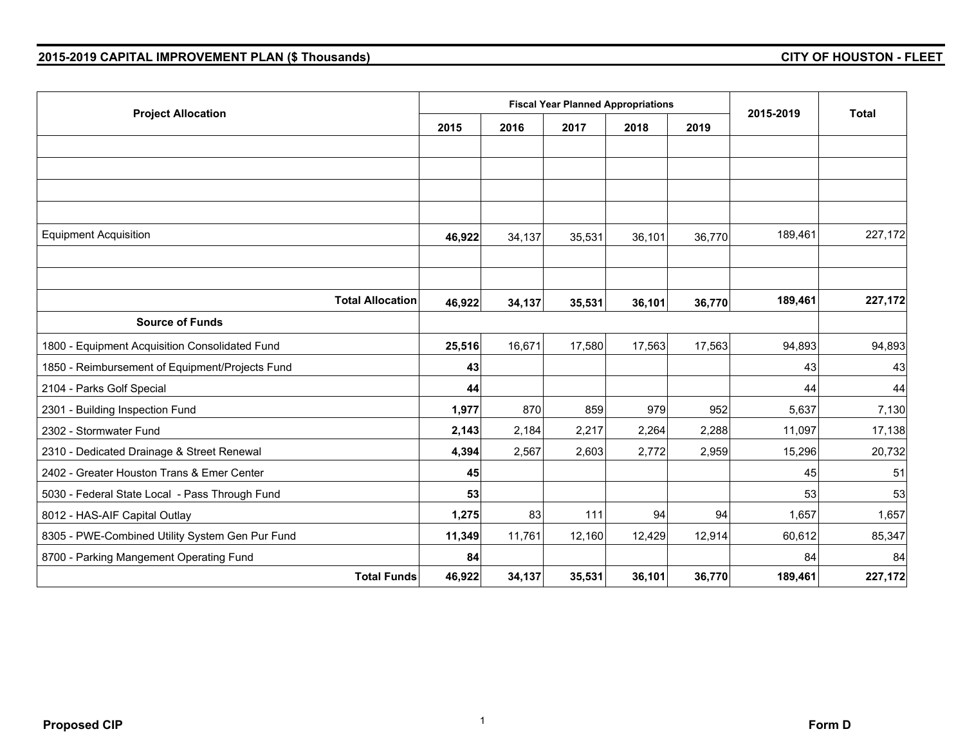| <b>Project Allocation</b>                       |                         |        | <b>Fiscal Year Planned Appropriations</b> | 2015-2019 | <b>Total</b> |        |         |         |
|-------------------------------------------------|-------------------------|--------|-------------------------------------------|-----------|--------------|--------|---------|---------|
|                                                 |                         | 2015   | 2016                                      | 2017      | 2018         | 2019   |         |         |
|                                                 |                         |        |                                           |           |              |        |         |         |
|                                                 |                         |        |                                           |           |              |        |         |         |
|                                                 |                         |        |                                           |           |              |        |         |         |
|                                                 |                         |        |                                           |           |              |        |         |         |
| <b>Equipment Acquisition</b>                    |                         | 46,922 | 34,137                                    | 35,531    | 36,101       | 36,770 | 189,461 | 227,172 |
|                                                 |                         |        |                                           |           |              |        |         |         |
|                                                 |                         |        |                                           |           |              |        |         |         |
|                                                 | <b>Total Allocation</b> | 46,922 | 34,137                                    | 35,531    | 36,101       | 36,770 | 189,461 | 227,172 |
| <b>Source of Funds</b>                          |                         |        |                                           |           |              |        |         |         |
| 1800 - Equipment Acquisition Consolidated Fund  |                         | 25,516 | 16,671                                    | 17,580    | 17,563       | 17,563 | 94,893  | 94,893  |
| 1850 - Reimbursement of Equipment/Projects Fund |                         | 43     |                                           |           |              |        | 43      | 43      |
| 2104 - Parks Golf Special                       |                         | 44     |                                           |           |              |        | 44      | 44      |
| 2301 - Building Inspection Fund                 |                         | 1,977  | 870                                       | 859       | 979          | 952    | 5,637   | 7,130   |
| 2302 - Stormwater Fund                          |                         | 2,143  | 2,184                                     | 2,217     | 2,264        | 2,288  | 11,097  | 17,138  |
| 2310 - Dedicated Drainage & Street Renewal      |                         | 4,394  | 2,567                                     | 2,603     | 2,772        | 2,959  | 15,296  | 20,732  |
| 2402 - Greater Houston Trans & Emer Center      |                         | 45     |                                           |           |              |        | 45      | 51      |
| 5030 - Federal State Local - Pass Through Fund  |                         | 53     |                                           |           |              |        | 53      | 53      |
| 8012 - HAS-AIF Capital Outlay                   |                         | 1,275  | 83                                        | 111       | 94           | 94     | 1,657   | 1,657   |
| 8305 - PWE-Combined Utility System Gen Pur Fund |                         | 11,349 | 11,761                                    | 12,160    | 12,429       | 12,914 | 60,612  | 85,347  |
| 8700 - Parking Mangement Operating Fund         |                         | 84     |                                           |           |              |        | 84      | 84      |
|                                                 | <b>Total Funds</b>      | 46,922 | 34,137                                    | 35,531    | 36,101       | 36,770 | 189,461 | 227,172 |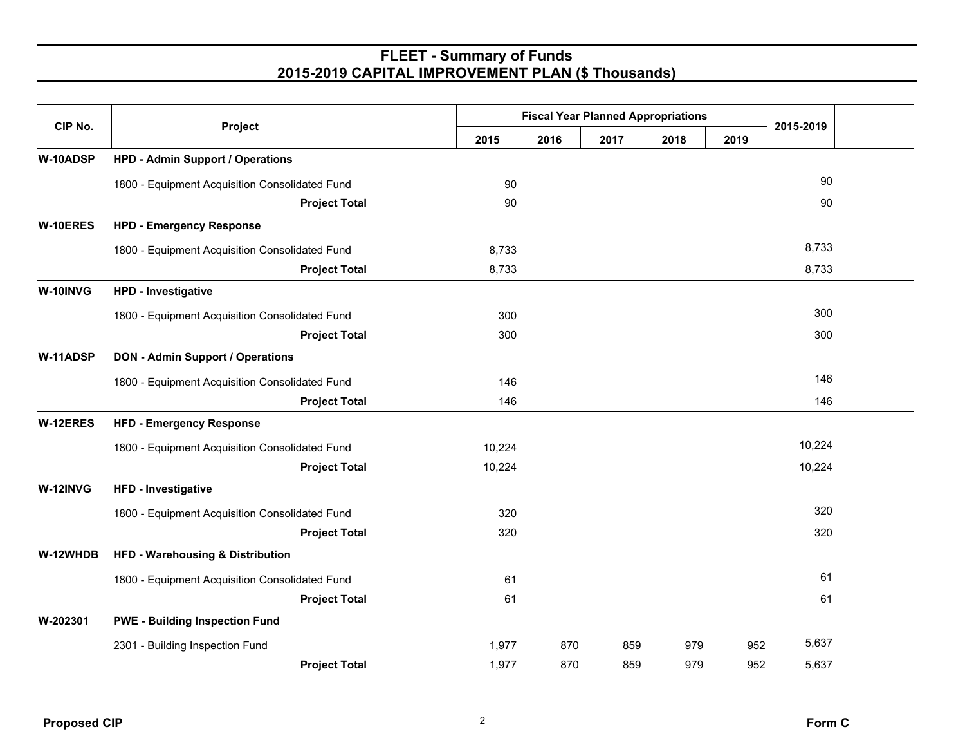| CIP No.  | Project                                        |        | <b>Fiscal Year Planned Appropriations</b> |      |      |      |           |  |
|----------|------------------------------------------------|--------|-------------------------------------------|------|------|------|-----------|--|
|          |                                                | 2015   | 2016                                      | 2017 | 2018 | 2019 | 2015-2019 |  |
| W-10ADSP | <b>HPD - Admin Support / Operations</b>        |        |                                           |      |      |      |           |  |
|          | 1800 - Equipment Acquisition Consolidated Fund | 90     |                                           |      |      |      | 90        |  |
|          | <b>Project Total</b>                           | 90     |                                           |      |      |      | 90        |  |
| W-10ERES | <b>HPD - Emergency Response</b>                |        |                                           |      |      |      |           |  |
|          | 1800 - Equipment Acquisition Consolidated Fund | 8,733  |                                           |      |      |      | 8,733     |  |
|          | <b>Project Total</b>                           | 8,733  |                                           |      |      |      | 8,733     |  |
| W-10INVG | <b>HPD - Investigative</b>                     |        |                                           |      |      |      |           |  |
|          | 1800 - Equipment Acquisition Consolidated Fund | 300    |                                           |      |      |      | 300       |  |
|          | <b>Project Total</b>                           | 300    |                                           |      |      |      | 300       |  |
| W-11ADSP | <b>DON - Admin Support / Operations</b>        |        |                                           |      |      |      |           |  |
|          | 1800 - Equipment Acquisition Consolidated Fund | 146    |                                           |      |      |      | 146       |  |
|          | <b>Project Total</b>                           | 146    |                                           |      |      |      | 146       |  |
| W-12ERES | <b>HFD - Emergency Response</b>                |        |                                           |      |      |      |           |  |
|          | 1800 - Equipment Acquisition Consolidated Fund | 10,224 |                                           |      |      |      | 10,224    |  |
|          | <b>Project Total</b>                           | 10,224 |                                           |      |      |      | 10,224    |  |
| W-12INVG | <b>HFD - Investigative</b>                     |        |                                           |      |      |      |           |  |
|          | 1800 - Equipment Acquisition Consolidated Fund | 320    |                                           |      |      |      | 320       |  |
|          | <b>Project Total</b>                           | 320    |                                           |      |      |      | 320       |  |
| W-12WHDB | <b>HFD - Warehousing &amp; Distribution</b>    |        |                                           |      |      |      |           |  |
|          | 1800 - Equipment Acquisition Consolidated Fund | 61     |                                           |      |      |      | 61        |  |
|          | <b>Project Total</b>                           | 61     |                                           |      |      |      | 61        |  |
| W-202301 | <b>PWE - Building Inspection Fund</b>          |        |                                           |      |      |      |           |  |
|          | 2301 - Building Inspection Fund                | 1,977  | 870                                       | 859  | 979  | 952  | 5,637     |  |
|          | <b>Project Total</b>                           | 1,977  | 870                                       | 859  | 979  | 952  | 5,637     |  |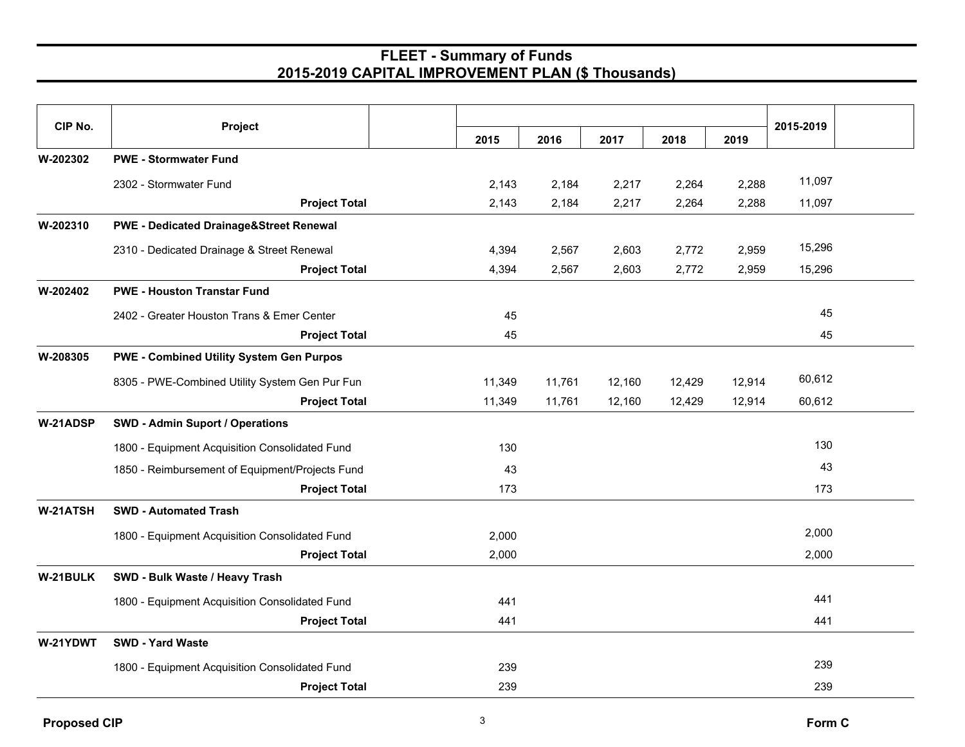| CIP No.  | Project                                            |        |        |        |        |        | 2015-2019 |  |
|----------|----------------------------------------------------|--------|--------|--------|--------|--------|-----------|--|
|          |                                                    | 2015   | 2016   | 2017   | 2018   | 2019   |           |  |
| W-202302 | <b>PWE - Stormwater Fund</b>                       |        |        |        |        |        |           |  |
|          | 2302 - Stormwater Fund                             | 2,143  | 2,184  | 2,217  | 2,264  | 2,288  | 11,097    |  |
|          | <b>Project Total</b>                               | 2,143  | 2,184  | 2,217  | 2,264  | 2,288  | 11,097    |  |
| W-202310 | <b>PWE - Dedicated Drainage&amp;Street Renewal</b> |        |        |        |        |        |           |  |
|          | 2310 - Dedicated Drainage & Street Renewal         | 4,394  | 2,567  | 2,603  | 2,772  | 2,959  | 15,296    |  |
|          | <b>Project Total</b>                               | 4,394  | 2,567  | 2,603  | 2,772  | 2,959  | 15,296    |  |
| W-202402 | <b>PWE - Houston Transtar Fund</b>                 |        |        |        |        |        |           |  |
|          | 2402 - Greater Houston Trans & Emer Center         | 45     |        |        |        |        | 45        |  |
|          | <b>Project Total</b>                               | 45     |        |        |        |        | 45        |  |
| W-208305 | <b>PWE - Combined Utility System Gen Purpos</b>    |        |        |        |        |        |           |  |
|          | 8305 - PWE-Combined Utility System Gen Pur Fun     | 11,349 | 11,761 | 12,160 | 12,429 | 12,914 | 60,612    |  |
|          | <b>Project Total</b>                               | 11,349 | 11,761 | 12,160 | 12,429 | 12,914 | 60,612    |  |
| W-21ADSP | <b>SWD - Admin Suport / Operations</b>             |        |        |        |        |        |           |  |
|          | 1800 - Equipment Acquisition Consolidated Fund     | 130    |        |        |        |        | 130       |  |
|          | 1850 - Reimbursement of Equipment/Projects Fund    | 43     |        |        |        |        | 43        |  |
|          | <b>Project Total</b>                               | 173    |        |        |        |        | 173       |  |
| W-21ATSH | <b>SWD - Automated Trash</b>                       |        |        |        |        |        |           |  |
|          | 1800 - Equipment Acquisition Consolidated Fund     | 2,000  |        |        |        |        | 2,000     |  |
|          | <b>Project Total</b>                               | 2,000  |        |        |        |        | 2,000     |  |
| W-21BULK | SWD - Bulk Waste / Heavy Trash                     |        |        |        |        |        |           |  |
|          | 1800 - Equipment Acquisition Consolidated Fund     | 441    |        |        |        |        | 441       |  |
|          | <b>Project Total</b>                               | 441    |        |        |        |        | 441       |  |
| W-21YDWT | <b>SWD - Yard Waste</b>                            |        |        |        |        |        |           |  |
|          | 1800 - Equipment Acquisition Consolidated Fund     | 239    |        |        |        |        | 239       |  |
|          | <b>Project Total</b>                               | 239    |        |        |        |        | 239       |  |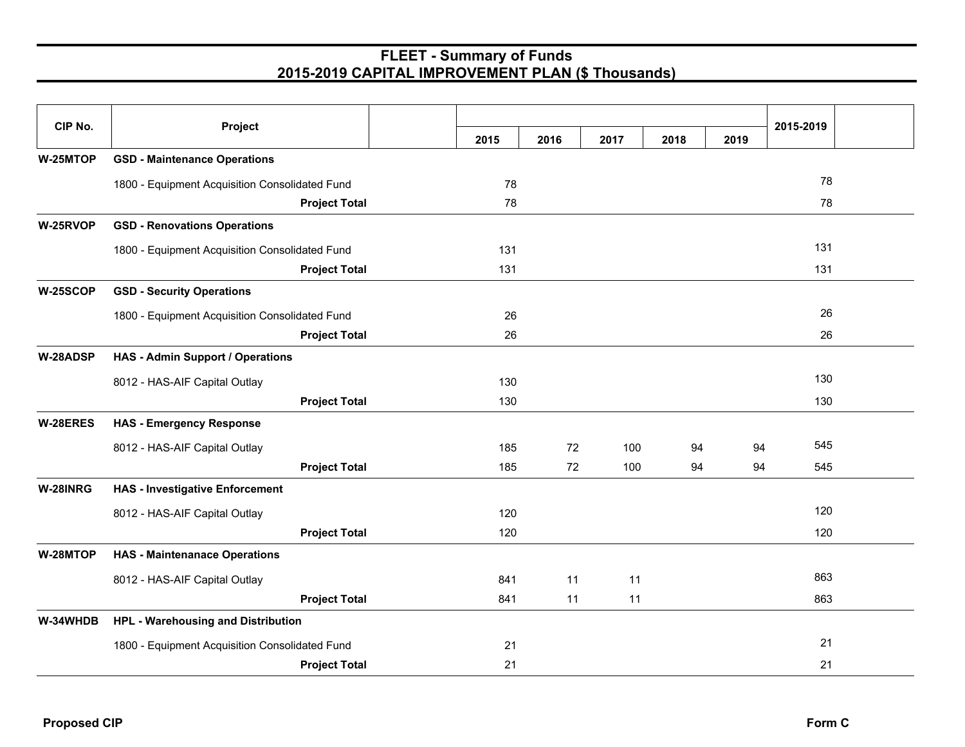| CIP No.  | Project                                        |      |      |      |      |      | 2015-2019 |  |
|----------|------------------------------------------------|------|------|------|------|------|-----------|--|
|          |                                                | 2015 | 2016 | 2017 | 2018 | 2019 |           |  |
| W-25MTOP | <b>GSD - Maintenance Operations</b>            |      |      |      |      |      |           |  |
|          | 1800 - Equipment Acquisition Consolidated Fund | 78   |      |      |      |      | 78        |  |
|          | <b>Project Total</b>                           | 78   |      |      |      |      | 78        |  |
| W-25RVOP | <b>GSD - Renovations Operations</b>            |      |      |      |      |      |           |  |
|          | 1800 - Equipment Acquisition Consolidated Fund | 131  |      |      |      |      | 131       |  |
|          | <b>Project Total</b>                           | 131  |      |      |      |      | 131       |  |
| W-25SCOP | <b>GSD - Security Operations</b>               |      |      |      |      |      |           |  |
|          | 1800 - Equipment Acquisition Consolidated Fund | 26   |      |      |      |      | 26        |  |
|          | <b>Project Total</b>                           | 26   |      |      |      |      | 26        |  |
| W-28ADSP | <b>HAS - Admin Support / Operations</b>        |      |      |      |      |      |           |  |
|          | 8012 - HAS-AIF Capital Outlay                  | 130  |      |      |      |      | 130       |  |
|          | <b>Project Total</b>                           | 130  |      |      |      |      | 130       |  |
| W-28ERES | <b>HAS - Emergency Response</b>                |      |      |      |      |      |           |  |
|          | 8012 - HAS-AIF Capital Outlay                  | 185  | 72   | 100  | 94   | 94   | 545       |  |
|          | <b>Project Total</b>                           | 185  | 72   | 100  | 94   | 94   | 545       |  |
| W-28INRG | <b>HAS - Investigative Enforcement</b>         |      |      |      |      |      |           |  |
|          | 8012 - HAS-AIF Capital Outlay                  | 120  |      |      |      |      | 120       |  |
|          | <b>Project Total</b>                           | 120  |      |      |      |      | 120       |  |
| W-28MTOP | <b>HAS - Maintenanace Operations</b>           |      |      |      |      |      |           |  |
|          | 8012 - HAS-AIF Capital Outlay                  | 841  | 11   | 11   |      |      | 863       |  |
|          | <b>Project Total</b>                           | 841  | 11   | 11   |      |      | 863       |  |
| W-34WHDB | HPL - Warehousing and Distribution             |      |      |      |      |      |           |  |
|          | 1800 - Equipment Acquisition Consolidated Fund | 21   |      |      |      |      | 21        |  |
|          | <b>Project Total</b>                           | 21   |      |      |      |      | 21        |  |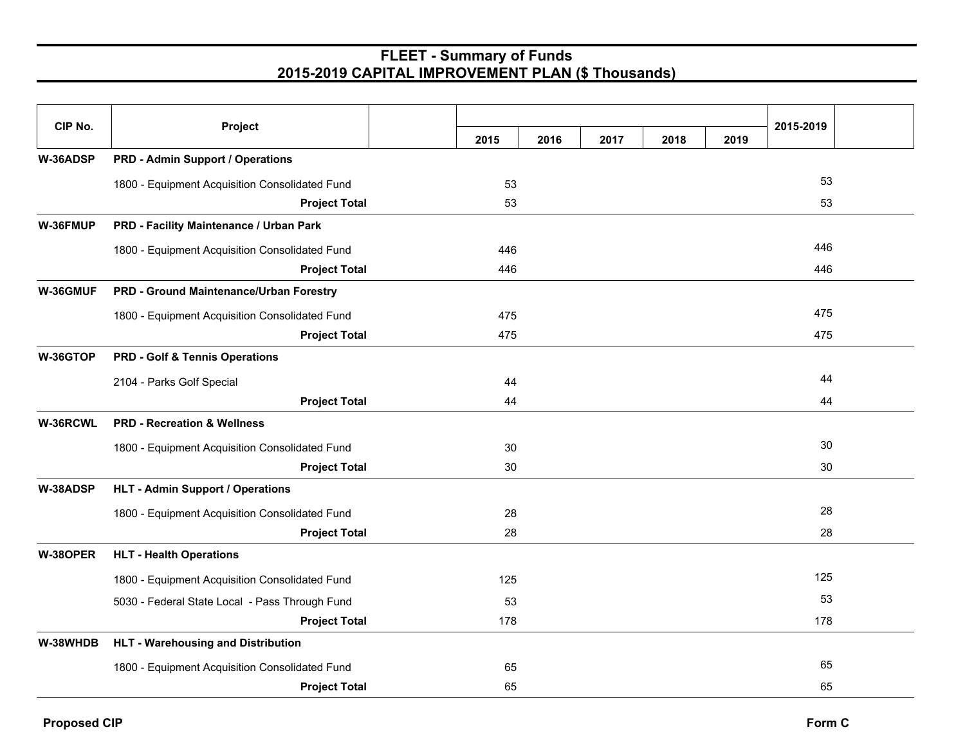| CIP No.  | Project                                        |      |      |      |      |      | 2015-2019 |  |
|----------|------------------------------------------------|------|------|------|------|------|-----------|--|
|          |                                                | 2015 | 2016 | 2017 | 2018 | 2019 |           |  |
| W-36ADSP | <b>PRD - Admin Support / Operations</b>        |      |      |      |      |      |           |  |
|          | 1800 - Equipment Acquisition Consolidated Fund | 53   |      |      |      |      | 53        |  |
|          | <b>Project Total</b>                           | 53   |      |      |      |      | 53        |  |
| W-36FMUP | PRD - Facility Maintenance / Urban Park        |      |      |      |      |      |           |  |
|          | 1800 - Equipment Acquisition Consolidated Fund | 446  |      |      |      |      | 446       |  |
|          | <b>Project Total</b>                           | 446  |      |      |      |      | 446       |  |
| W-36GMUF | PRD - Ground Maintenance/Urban Forestry        |      |      |      |      |      |           |  |
|          | 1800 - Equipment Acquisition Consolidated Fund | 475  |      |      |      |      | 475       |  |
|          | <b>Project Total</b>                           | 475  |      |      |      |      | 475       |  |
| W-36GTOP | <b>PRD - Golf &amp; Tennis Operations</b>      |      |      |      |      |      |           |  |
|          | 2104 - Parks Golf Special                      | 44   |      |      |      |      | 44        |  |
|          | <b>Project Total</b>                           | 44   |      |      |      |      | 44        |  |
| W-36RCWL | <b>PRD - Recreation &amp; Wellness</b>         |      |      |      |      |      |           |  |
|          | 1800 - Equipment Acquisition Consolidated Fund | 30   |      |      |      |      | 30        |  |
|          | <b>Project Total</b>                           | 30   |      |      |      |      | 30        |  |
| W-38ADSP | <b>HLT - Admin Support / Operations</b>        |      |      |      |      |      |           |  |
|          | 1800 - Equipment Acquisition Consolidated Fund | 28   |      |      |      |      | 28        |  |
|          | <b>Project Total</b>                           | 28   |      |      |      |      | 28        |  |
| W-38OPER | <b>HLT - Health Operations</b>                 |      |      |      |      |      |           |  |
|          | 1800 - Equipment Acquisition Consolidated Fund | 125  |      |      |      |      | 125       |  |
|          | 5030 - Federal State Local - Pass Through Fund | 53   |      |      |      |      | 53        |  |
|          | <b>Project Total</b>                           | 178  |      |      |      |      | 178       |  |
| W-38WHDB | HLT - Warehousing and Distribution             |      |      |      |      |      |           |  |
|          | 1800 - Equipment Acquisition Consolidated Fund | 65   |      |      |      |      | 65        |  |
|          | <b>Project Total</b>                           | 65   |      |      |      |      | 65        |  |